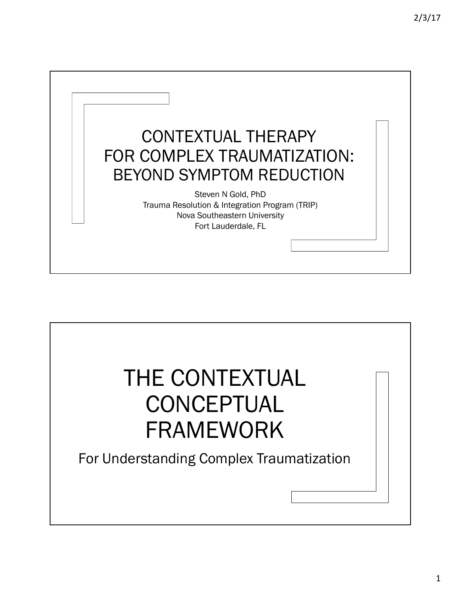

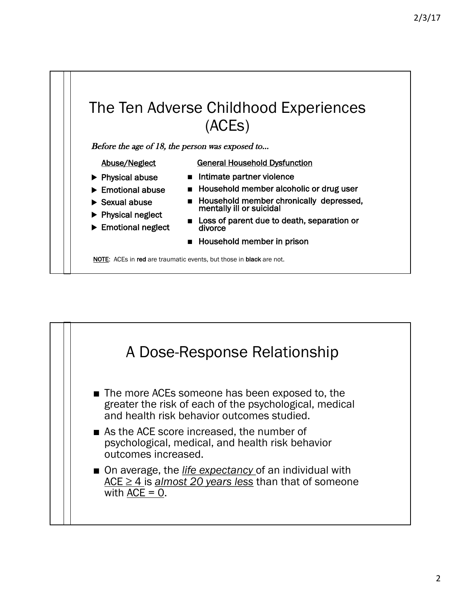

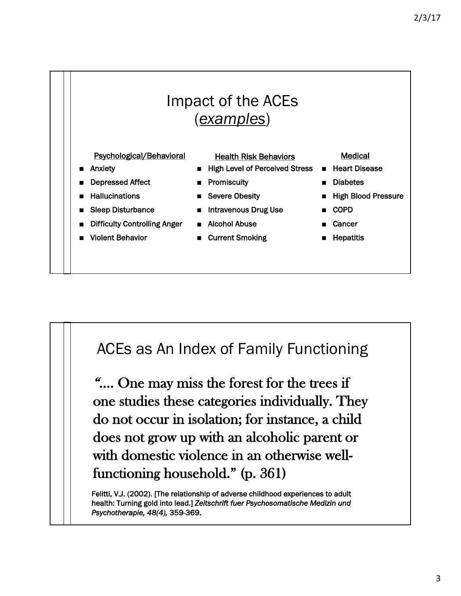

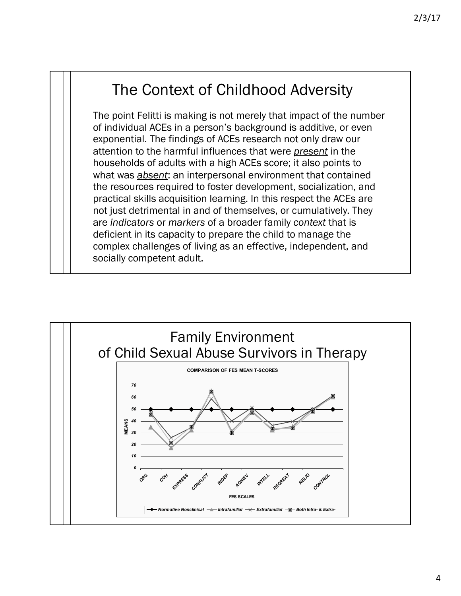### The Context of Childhood Adversity

The point Felitti is making is not merely that impact of the number of individual ACEs in a person's background is additive, or even exponential. The findings of ACEs research not only draw our attention to the harmful influences that were *present* in the households of adults with a high ACEs score; it also points to what was *absent*: an interpersonal environment that contained the resources required to foster development, socialization, and practical skills acquisition learning. In this respect the ACEs are not just detrimental in and of themselves, or cumulatively. They are *indicators* or *markers* of a broader family *context* that is deficient in its capacity to prepare the child to manage the complex challenges of living as an effective, independent, and socially competent adult.

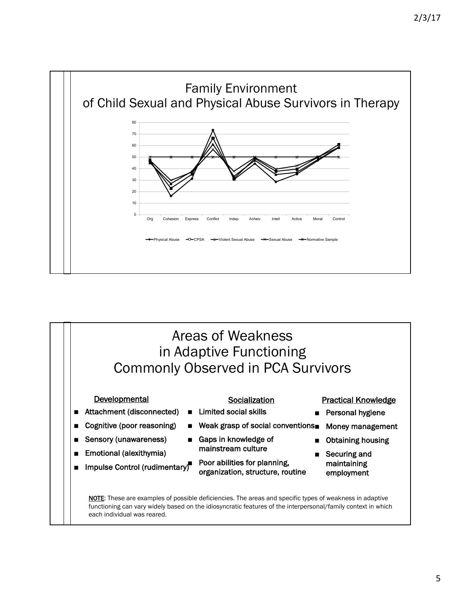

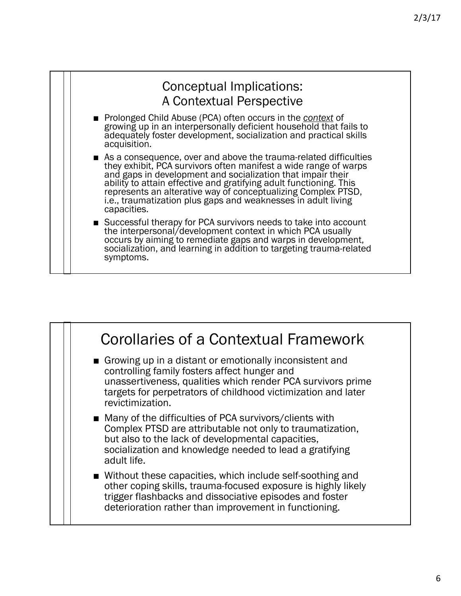| <b>Conceptual Implications:</b><br>A Contextual Perspective                                                                                                                                                                                                                                                                                                                                                                |
|----------------------------------------------------------------------------------------------------------------------------------------------------------------------------------------------------------------------------------------------------------------------------------------------------------------------------------------------------------------------------------------------------------------------------|
| ■ Prolonged Child Abuse (PCA) often occurs in the context of<br>growing up in an interpersonally deficient household that fails to<br>adequately foster development, socialization and practical skills<br>acquisition.                                                                                                                                                                                                    |
| As a consequence, over and above the trauma-related difficulties<br>they exhibit, PCA survivors often manifest a wide range of warps<br>and gaps in development and socialization that impair their<br>ability to attain effective and gratifying adult functioning. This<br>represents an alterative way of conceptualizing Complex PTSD,<br>i.e., traumatization plus gaps and weaknesses in adult living<br>capacities. |
| ■ Successful therapy for PCA survivors needs to take into account<br>the interpersonal/development context in which PCA usually<br>occurs by aiming to remediate gaps and warps in development,<br>socialization, and learning in addition to targeting trauma-related<br>symptoms.                                                                                                                                        |

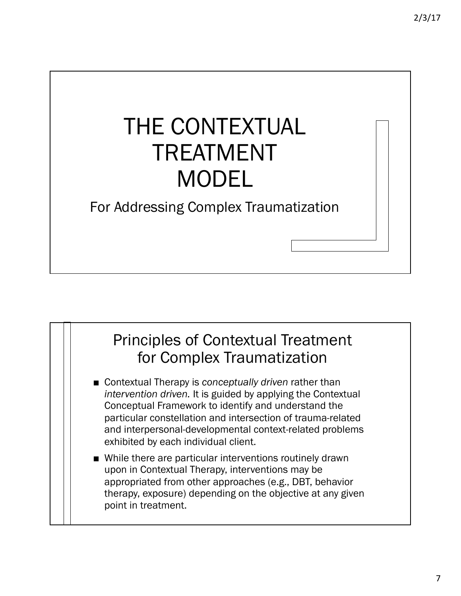# THE CONTEXTUAL TREATMENT MODEL

#### For Addressing Complex Traumatization

#### Principles of Contextual Treatment for Complex Traumatization

- Contextual Therapy is *conceptually driven* rather than *intervention driven.* It is guided by applying the Contextual Conceptual Framework to identify and understand the particular constellation and intersection of trauma-related and interpersonal-developmental context-related problems exhibited by each individual client.
- While there are particular interventions routinely drawn upon in Contextual Therapy, interventions may be appropriated from other approaches (e.g., DBT, behavior therapy, exposure) depending on the objective at any given point in treatment.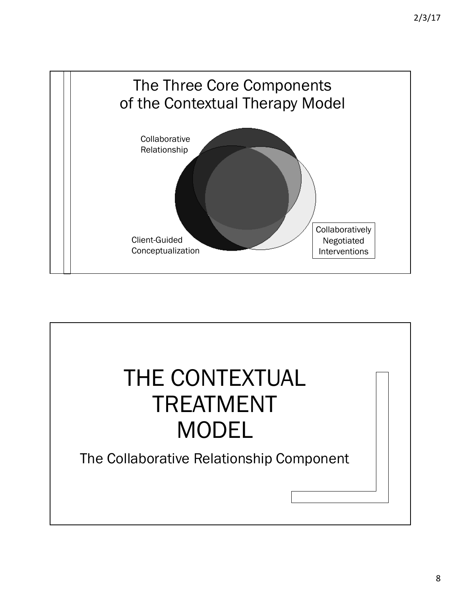

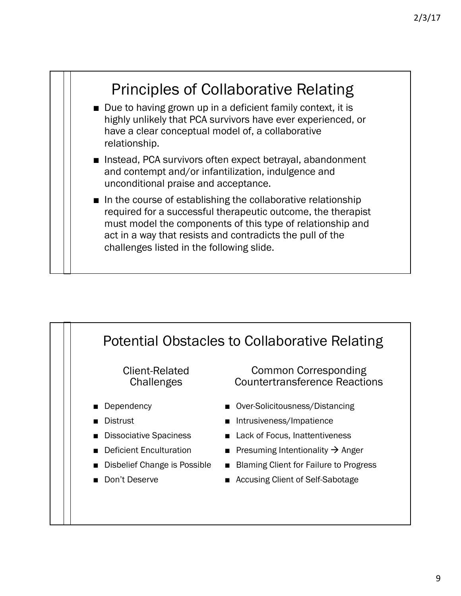

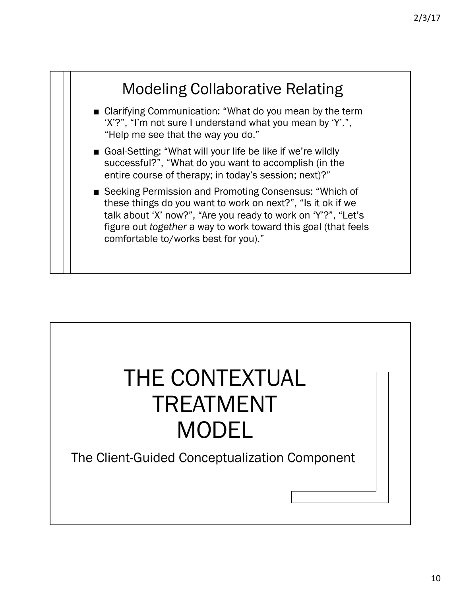

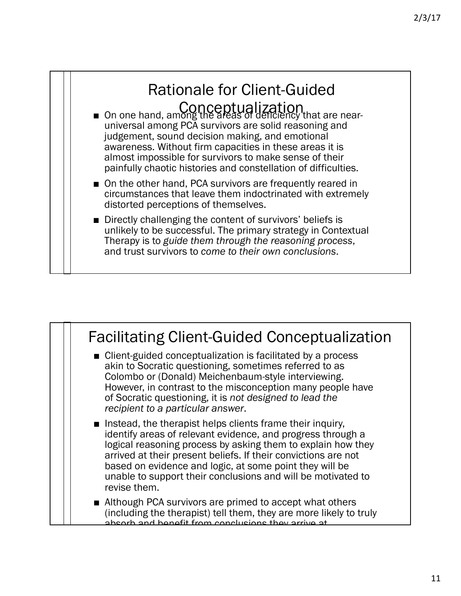

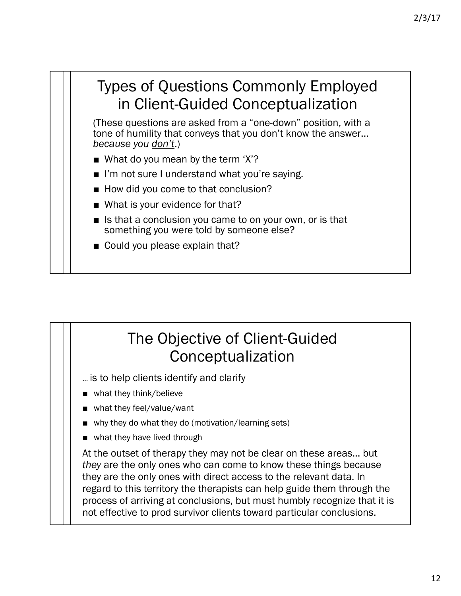#### Types of Questions Commonly Employed in Client-Guided Conceptualization

(These questions are asked from a "one-down" position, with a tone of humility that conveys that you don't know the answer… *because you don't*.)

- What do you mean by the term 'X'?
- I'm not sure I understand what you're saying.
- How did you come to that conclusion?
- What is your evidence for that?
- Is that a conclusion you came to on your own, or is that something you were told by someone else?
- Could you please explain that?

#### The Objective of Client-Guided Conceptualization

- … is to help clients identify and clarify
- what they think/believe
- what they feel/value/want
- why they do what they do (motivation/learning sets)
- what they have lived through

At the outset of therapy they may not be clear on these areas… but *they* are the only ones who can come to know these things because they are the only ones with direct access to the relevant data. In regard to this territory the therapists can help guide them through the process of arriving at conclusions, but must humbly recognize that it is not effective to prod survivor clients toward particular conclusions.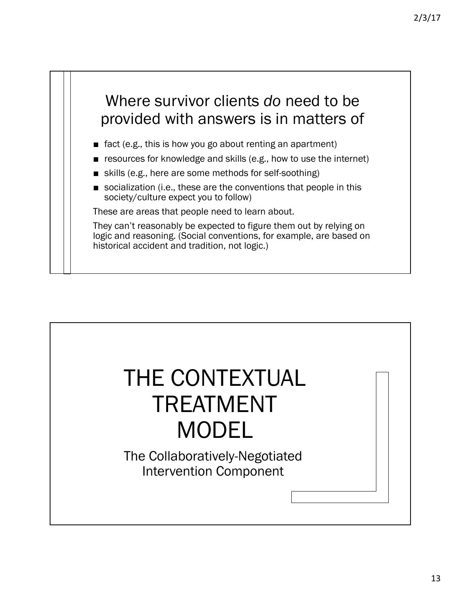## Where survivor clients *do* need to be provided with answers is in matters of

- fact (e.g., this is how you go about renting an apartment)
- resources for knowledge and skills (e.g., how to use the internet)
- skills (e.g., here are some methods for self-soothing)
- socialization (i.e., these are the conventions that people in this society/culture expect you to follow)

These are areas that people need to learn about.

They can't reasonably be expected to figure them out by relying on logic and reasoning. (Social conventions, for example, are based on historical accident and tradition, not logic.)

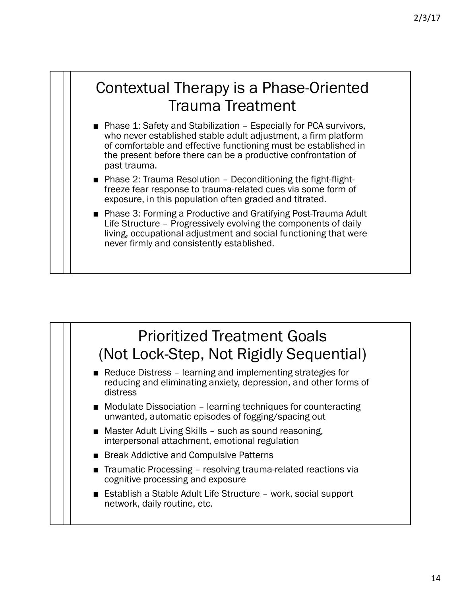#### Contextual Therapy is a Phase-Oriented Trauma Treatment

- Phase 1: Safety and Stabilization Especially for PCA survivors, who never established stable adult adjustment, a firm platform of comfortable and effective functioning must be established in the present before there can be a productive confrontation of past trauma.
- Phase 2: Trauma Resolution Deconditioning the fight-flight-<br>freeze fear response to trauma-related cues via some form of exposure, in this population often graded and titrated.
- Phase 3: Forming a Productive and Gratifying Post-Trauma Adult Life Structure – Progressively evolving the components of daily living, occupational adjustment and social functioning that were never firmly and consistently established.

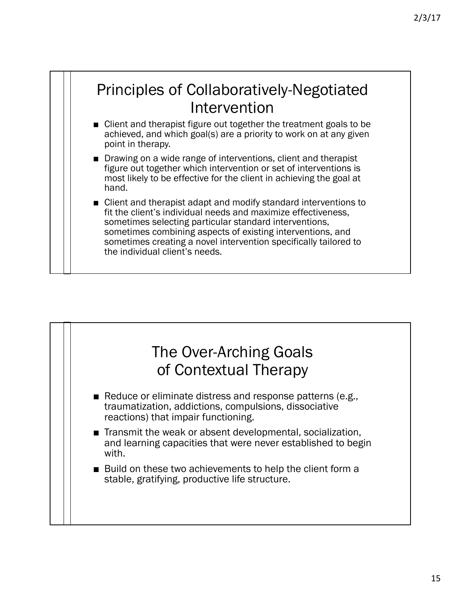### Principles of Collaboratively-Negotiated Intervention

- Client and therapist figure out together the treatment goals to be achieved, and which goal(s) are a priority to work on at any given point in therapy.
- Drawing on a wide range of interventions, client and therapist figure out together which intervention or set of interventions is most likely to be effective for the client in achieving the goal at hand.
- Client and therapist adapt and modify standard interventions to fit the client's individual needs and maximize effectiveness, sometimes selecting particular standard interventions, sometimes combining aspects of existing interventions, and sometimes creating a novel intervention specifically tailored to the individual client's needs.